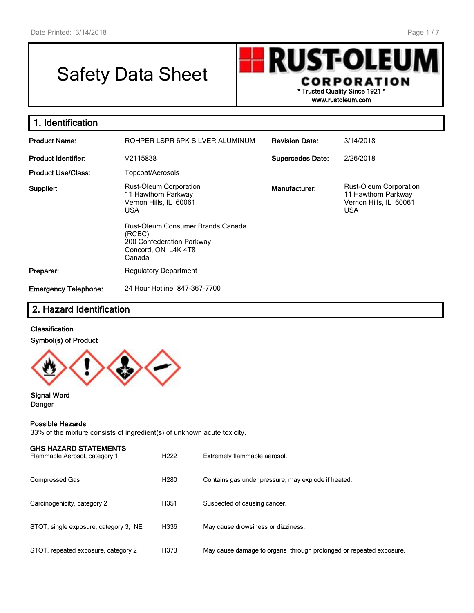# Safety Data Sheet

**RUST-OLEU** CORPORATION **\* Trusted Quality Since 1921 \***

**www.rustoleum.com**

| 1. Identification           |                                                                                                                                             |                         |                                                                                       |
|-----------------------------|---------------------------------------------------------------------------------------------------------------------------------------------|-------------------------|---------------------------------------------------------------------------------------|
| <b>Product Name:</b>        | ROHPER LSPR 6PK SILVER ALUMINUM                                                                                                             | <b>Revision Date:</b>   | 3/14/2018                                                                             |
| <b>Product Identifier:</b>  | V2115838                                                                                                                                    | <b>Supercedes Date:</b> | 2/26/2018                                                                             |
| <b>Product Use/Class:</b>   | Topcoat/Aerosols                                                                                                                            |                         |                                                                                       |
| Supplier:                   | <b>Rust-Oleum Corporation</b><br>11 Hawthorn Parkway<br>Vernon Hills, IL 60061<br><b>USA</b><br>Rust-Oleum Consumer Brands Canada<br>(RCBC) | Manufacturer:           | Rust-Oleum Corporation<br>11 Hawthorn Parkway<br>Vernon Hills, IL 60061<br><b>USA</b> |
|                             | 200 Confederation Parkway<br>Concord, ON L4K 4T8<br>Canada                                                                                  |                         |                                                                                       |
| Preparer:                   | <b>Regulatory Department</b>                                                                                                                |                         |                                                                                       |
| <b>Emergency Telephone:</b> | 24 Hour Hotline: 847-367-7700                                                                                                               |                         |                                                                                       |

## **2. Hazard Identification**

#### **Classification**

#### **Symbol(s) of Product**



**Signal Word** Danger

#### **Possible Hazards**

33% of the mixture consists of ingredient(s) of unknown acute toxicity.

| <b>GHS HAZARD STATEMENTS</b><br>Flammable Aerosol, category 1 | H <sub>222</sub> | Extremely flammable aerosol.                                       |
|---------------------------------------------------------------|------------------|--------------------------------------------------------------------|
| <b>Compressed Gas</b>                                         | H <sub>280</sub> | Contains gas under pressure; may explode if heated.                |
| Carcinogenicity, category 2                                   | H351             | Suspected of causing cancer.                                       |
| STOT, single exposure, category 3, NE                         | H336             | May cause drowsiness or dizziness.                                 |
| STOT, repeated exposure, category 2                           | H373             | May cause damage to organs through prolonged or repeated exposure. |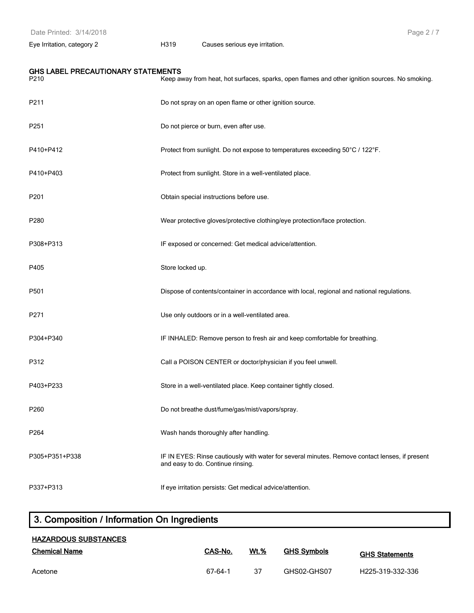Page 2 / 7

Eye Irritation, category 2 H319 Causes serious eye irritation.

|  | GHS LABEL PRECAUTIONARY STATEMENTS |  |
|--|------------------------------------|--|
|--|------------------------------------|--|

| P210             | Keep away from heat, hot surfaces, sparks, open flames and other ignition sources. No smoking.                                      |
|------------------|-------------------------------------------------------------------------------------------------------------------------------------|
| P211             | Do not spray on an open flame or other ignition source.                                                                             |
| P251             | Do not pierce or burn, even after use.                                                                                              |
| P410+P412        | Protect from sunlight. Do not expose to temperatures exceeding 50°C / 122°F.                                                        |
| P410+P403        | Protect from sunlight. Store in a well-ventilated place.                                                                            |
| P <sub>201</sub> | Obtain special instructions before use.                                                                                             |
| P280             | Wear protective gloves/protective clothing/eye protection/face protection.                                                          |
| P308+P313        | IF exposed or concerned: Get medical advice/attention.                                                                              |
| P405             | Store locked up.                                                                                                                    |
| P501             | Dispose of contents/container in accordance with local, regional and national regulations.                                          |
| P271             | Use only outdoors or in a well-ventilated area.                                                                                     |
| P304+P340        | IF INHALED: Remove person to fresh air and keep comfortable for breathing.                                                          |
| P312             | Call a POISON CENTER or doctor/physician if you feel unwell.                                                                        |
| P403+P233        | Store in a well-ventilated place. Keep container tightly closed.                                                                    |
| P260             | Do not breathe dust/fume/gas/mist/vapors/spray.                                                                                     |
| P <sub>264</sub> | Wash hands thoroughly after handling.                                                                                               |
| P305+P351+P338   | IF IN EYES: Rinse cautiously with water for several minutes. Remove contact lenses, if present<br>and easy to do. Continue rinsing. |
| P337+P313        | If eye irritation persists: Get medical advice/attention.                                                                           |

## **3. Composition / Information On Ingredients**

| <b>HAZARDOUS SUBSTANCES</b> |         |             |                    |                       |  |  |  |
|-----------------------------|---------|-------------|--------------------|-----------------------|--|--|--|
| <b>Chemical Name</b>        | CAS-No. | <b>Wt.%</b> | <b>GHS Symbols</b> | <b>GHS Statements</b> |  |  |  |
| Acetone                     | 67-64-1 | 37          | GHS02-GHS07        | H225-319-332-336      |  |  |  |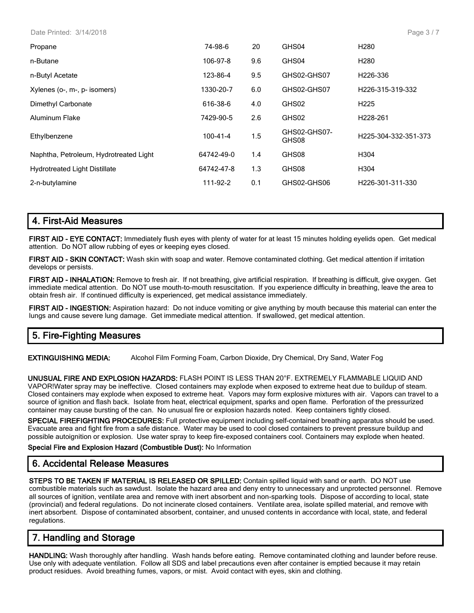Date Printed: 3/14/2018

| Propane                                | 74-98-6    | 20  | GHS04                 | H <sub>280</sub>              |
|----------------------------------------|------------|-----|-----------------------|-------------------------------|
| n-Butane                               | 106-97-8   | 9.6 | GHS04                 | H <sub>280</sub>              |
| n-Butyl Acetate                        | 123-86-4   | 9.5 | GHS02-GHS07           | H <sub>226</sub> -336         |
| Xylenes (o-, m-, p- isomers)           | 1330-20-7  | 6.0 | GHS02-GHS07           | H <sub>226</sub> -315-319-332 |
| Dimethyl Carbonate                     | 616-38-6   | 4.0 | GHS02                 | H <sub>225</sub>              |
| Aluminum Flake                         | 7429-90-5  | 2.6 | GHS02                 | H <sub>228-261</sub>          |
| Ethylbenzene                           | 100-41-4   | 1.5 | GHS02-GHS07-<br>GHS08 | H225-304-332-351-373          |
| Naphtha, Petroleum, Hydrotreated Light | 64742-49-0 | 1.4 | GHS08                 | H <sub>304</sub>              |
| <b>Hydrotreated Light Distillate</b>   | 64742-47-8 | 1.3 | GHS08                 | H304                          |
| 2-n-butylamine                         | 111-92-2   | 0.1 | GHS02-GHS06           | H <sub>226</sub> -301-311-330 |
|                                        |            |     |                       |                               |

## **4. First-Aid Measures**

**FIRST AID - EYE CONTACT:** Immediately flush eyes with plenty of water for at least 15 minutes holding eyelids open. Get medical attention. Do NOT allow rubbing of eyes or keeping eyes closed.

**FIRST AID - SKIN CONTACT:** Wash skin with soap and water. Remove contaminated clothing. Get medical attention if irritation develops or persists.

**FIRST AID - INHALATION:** Remove to fresh air. If not breathing, give artificial respiration. If breathing is difficult, give oxygen. Get immediate medical attention. Do NOT use mouth-to-mouth resuscitation. If you experience difficulty in breathing, leave the area to obtain fresh air. If continued difficulty is experienced, get medical assistance immediately.

**FIRST AID - INGESTION:** Aspiration hazard: Do not induce vomiting or give anything by mouth because this material can enter the lungs and cause severe lung damage. Get immediate medical attention. If swallowed, get medical attention.

## **5. Fire-Fighting Measures**

**EXTINGUISHING MEDIA:** Alcohol Film Forming Foam, Carbon Dioxide, Dry Chemical, Dry Sand, Water Fog

**UNUSUAL FIRE AND EXPLOSION HAZARDS:** FLASH POINT IS LESS THAN 20°F. EXTREMELY FLAMMABLE LIQUID AND VAPOR!Water spray may be ineffective. Closed containers may explode when exposed to extreme heat due to buildup of steam. Closed containers may explode when exposed to extreme heat. Vapors may form explosive mixtures with air. Vapors can travel to a source of ignition and flash back. Isolate from heat, electrical equipment, sparks and open flame. Perforation of the pressurized container may cause bursting of the can. No unusual fire or explosion hazards noted. Keep containers tightly closed.

**SPECIAL FIREFIGHTING PROCEDURES:** Full protective equipment including self-contained breathing apparatus should be used. Evacuate area and fight fire from a safe distance. Water may be used to cool closed containers to prevent pressure buildup and possible autoignition or explosion. Use water spray to keep fire-exposed containers cool. Containers may explode when heated.

#### **Special Fire and Explosion Hazard (Combustible Dust):** No Information

## **6. Accidental Release Measures**

**STEPS TO BE TAKEN IF MATERIAL IS RELEASED OR SPILLED:** Contain spilled liquid with sand or earth. DO NOT use combustible materials such as sawdust. Isolate the hazard area and deny entry to unnecessary and unprotected personnel. Remove all sources of ignition, ventilate area and remove with inert absorbent and non-sparking tools. Dispose of according to local, state (provincial) and federal regulations. Do not incinerate closed containers. Ventilate area, isolate spilled material, and remove with inert absorbent. Dispose of contaminated absorbent, container, and unused contents in accordance with local, state, and federal regulations.

## **7. Handling and Storage**

**HANDLING:** Wash thoroughly after handling. Wash hands before eating. Remove contaminated clothing and launder before reuse. Use only with adequate ventilation. Follow all SDS and label precautions even after container is emptied because it may retain product residues. Avoid breathing fumes, vapors, or mist. Avoid contact with eyes, skin and clothing.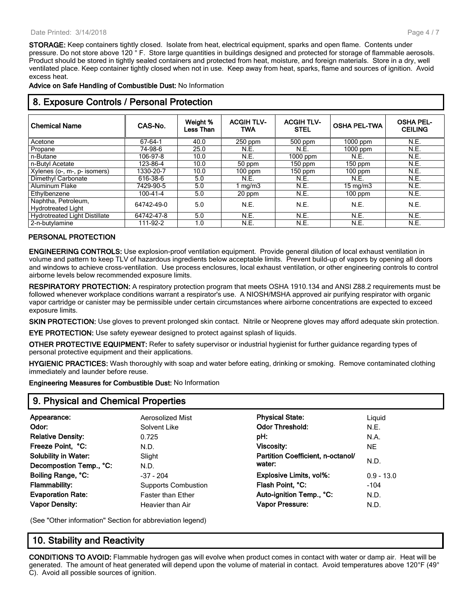#### Date Printed: 3/14/2018

**STORAGE:** Keep containers tightly closed. Isolate from heat, electrical equipment, sparks and open flame. Contents under pressure. Do not store above 120 ° F. Store large quantities in buildings designed and protected for storage of flammable aerosols. Product should be stored in tightly sealed containers and protected from heat, moisture, and foreign materials. Store in a dry, well ventilated place. Keep container tightly closed when not in use. Keep away from heat, sparks, flame and sources of ignition. Avoid excess heat.

**Advice on Safe Handling of Combustible Dust:** No Information

| o. Exposure Controls / Fersonal Flotection       |            |                       |                                 |                                  |                     |                                    |  |
|--------------------------------------------------|------------|-----------------------|---------------------------------|----------------------------------|---------------------|------------------------------------|--|
| <b>Chemical Name</b>                             | CAS-No.    | Weight %<br>Less Than | <b>ACGIH TLV-</b><br><b>TWA</b> | <b>ACGIH TLV-</b><br><b>STEL</b> | <b>OSHA PEL-TWA</b> | <b>OSHA PEL-</b><br><b>CEILING</b> |  |
| Acetone                                          | 67-64-1    | 40.0                  | $250$ ppm                       | $500$ ppm                        | $1000$ ppm          | N.E.                               |  |
| Propane                                          | 74-98-6    | 25.0                  | N.E.                            | N.E.                             | $1000$ ppm          | N.E.                               |  |
| n-Butane                                         | 106-97-8   | 10.0                  | N.E.                            | $1000$ ppm                       | N.E.                | N.E.                               |  |
| n-Butyl Acetate                                  | 123-86-4   | 10.0                  | 50 ppm                          | $150$ ppm                        | $150$ ppm           | N.E.                               |  |
| Xylenes (o-, m-, p- isomers)                     | 1330-20-7  | 10.0                  | $100$ ppm                       | $150$ ppm                        | 100 ppm             | N.E.                               |  |
| Dimethyl Carbonate                               | 616-38-6   | 5.0                   | N.E.                            | N.E.                             | N.E.                | N.E.                               |  |
| <b>Aluminum Flake</b>                            | 7429-90-5  | 5.0                   | mg/m3                           | N.E.                             | $15 \text{ mg/m}$   | N.E.                               |  |
| Ethylbenzene                                     | 100-41-4   | 5.0                   | 20 ppm                          | N.E.                             | 100 ppm             | N.E.                               |  |
| Naphtha, Petroleum,<br><b>Hydrotreated Light</b> | 64742-49-0 | 5.0                   | N.E.                            | N.E.                             | N.E.                | N.E.                               |  |
| <b>Hydrotreated Light Distillate</b>             | 64742-47-8 | 5.0                   | N.E.                            | N.E.                             | N.E.                | N.E.                               |  |
| 2-n-butylamine                                   | 111-92-2   | 1.0                   | N.E.                            | N.E.                             | N.E.                | N.E.                               |  |

## **8. Exposure Controls / Personal Protection**

#### **PERSONAL PROTECTION**

**ENGINEERING CONTROLS:** Use explosion-proof ventilation equipment. Provide general dilution of local exhaust ventilation in volume and pattern to keep TLV of hazardous ingredients below acceptable limits. Prevent build-up of vapors by opening all doors and windows to achieve cross-ventilation. Use process enclosures, local exhaust ventilation, or other engineering controls to control airborne levels below recommended exposure limits.

**RESPIRATORY PROTECTION:** A respiratory protection program that meets OSHA 1910.134 and ANSI Z88.2 requirements must be followed whenever workplace conditions warrant a respirator's use. A NIOSH/MSHA approved air purifying respirator with organic vapor cartridge or canister may be permissible under certain circumstances where airborne concentrations are expected to exceed exposure limits.

**SKIN PROTECTION:** Use gloves to prevent prolonged skin contact. Nitrile or Neoprene gloves may afford adequate skin protection.

**EYE PROTECTION:** Use safety eyewear designed to protect against splash of liquids.

**OTHER PROTECTIVE EQUIPMENT:** Refer to safety supervisor or industrial hygienist for further guidance regarding types of personal protective equipment and their applications.

**HYGIENIC PRACTICES:** Wash thoroughly with soap and water before eating, drinking or smoking. Remove contaminated clothing immediately and launder before reuse.

**Engineering Measures for Combustible Dust:** No Information

| 9. Physical and Chemical Properties |                            |                                   |              |  |  |
|-------------------------------------|----------------------------|-----------------------------------|--------------|--|--|
| Appearance:                         | <b>Aerosolized Mist</b>    | <b>Physical State:</b>            | Liquid       |  |  |
| Odor:                               | Solvent Like               | <b>Odor Threshold:</b>            | N.E.         |  |  |
| <b>Relative Density:</b>            | 0.725                      | pH:                               | N.A.         |  |  |
| Freeze Point, °C:                   | N.D.                       | Viscosity:                        | <b>NE</b>    |  |  |
| <b>Solubility in Water:</b>         | Slight                     | Partition Coefficient, n-octanol/ |              |  |  |
| Decompostion Temp., °C:             | N.D.                       | water:                            | N.D.         |  |  |
| Boiling Range, °C:                  | $-37 - 204$                | <b>Explosive Limits, vol%:</b>    | $0.9 - 13.0$ |  |  |
| <b>Flammability:</b>                | <b>Supports Combustion</b> | Flash Point, °C:                  | $-104$       |  |  |
| <b>Evaporation Rate:</b>            | <b>Faster than Ether</b>   | Auto-ignition Temp., °C:          | N.D.         |  |  |
| <b>Vapor Density:</b>               | Heavier than Air           | <b>Vapor Pressure:</b>            | N.D.         |  |  |

(See "Other information" Section for abbreviation legend)

## **10. Stability and Reactivity**

**CONDITIONS TO AVOID:** Flammable hydrogen gas will evolve when product comes in contact with water or damp air. Heat will be generated. The amount of heat generated will depend upon the volume of material in contact. Avoid temperatures above 120°F (49° C). Avoid all possible sources of ignition.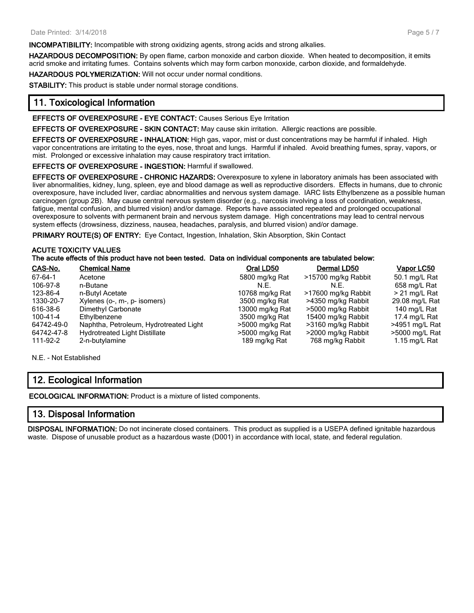**INCOMPATIBILITY:** Incompatible with strong oxidizing agents, strong acids and strong alkalies.

**HAZARDOUS DECOMPOSITION:** By open flame, carbon monoxide and carbon dioxide. When heated to decomposition, it emits acrid smoke and irritating fumes. Contains solvents which may form carbon monoxide, carbon dioxide, and formaldehyde.

**HAZARDOUS POLYMERIZATION:** Will not occur under normal conditions.

**STABILITY:** This product is stable under normal storage conditions.

## **11. Toxicological Information**

**EFFECTS OF OVEREXPOSURE - EYE CONTACT:** Causes Serious Eye Irritation

**EFFECTS OF OVEREXPOSURE - SKIN CONTACT:** May cause skin irritation. Allergic reactions are possible.

**EFFECTS OF OVEREXPOSURE - INHALATION:** High gas, vapor, mist or dust concentrations may be harmful if inhaled. High vapor concentrations are irritating to the eyes, nose, throat and lungs. Harmful if inhaled. Avoid breathing fumes, spray, vapors, or mist. Prolonged or excessive inhalation may cause respiratory tract irritation.

**EFFECTS OF OVEREXPOSURE - INGESTION:** Harmful if swallowed.

**EFFECTS OF OVEREXPOSURE - CHRONIC HAZARDS:** Overexposure to xylene in laboratory animals has been associated with liver abnormalities, kidney, lung, spleen, eye and blood damage as well as reproductive disorders. Effects in humans, due to chronic overexposure, have included liver, cardiac abnormalities and nervous system damage. IARC lists Ethylbenzene as a possible human carcinogen (group 2B). May cause central nervous system disorder (e.g., narcosis involving a loss of coordination, weakness, fatigue, mental confusion, and blurred vision) and/or damage. Reports have associated repeated and prolonged occupational overexposure to solvents with permanent brain and nervous system damage. High concentrations may lead to central nervous system effects (drowsiness, dizziness, nausea, headaches, paralysis, and blurred vision) and/or damage.

**PRIMARY ROUTE(S) OF ENTRY:** Eye Contact, Ingestion, Inhalation, Skin Absorption, Skin Contact

#### **ACUTE TOXICITY VALUES**

#### **The acute effects of this product have not been tested. Data on individual components are tabulated below:**

| CAS-No.       | <b>Chemical Name</b>                   | Oral LD50       | Dermal LD50         | Vapor LC50       |
|---------------|----------------------------------------|-----------------|---------------------|------------------|
| $67 - 64 - 1$ | Acetone                                | 5800 mg/kg Rat  | >15700 mg/kg Rabbit | 50.1 mg/L Rat    |
| 106-97-8      | n-Butane                               | N.E.            | N.F.                | 658 mg/L Rat     |
| 123-86-4      | n-Butyl Acetate                        | 10768 mg/kg Rat | >17600 mg/kg Rabbit | $> 21$ mg/L Rat  |
| 1330-20-7     | Xylenes (o-, m-, p- isomers)           | 3500 mg/kg Rat  | >4350 mg/kg Rabbit  | 29.08 mg/L Rat   |
| 616-38-6      | Dimethyl Carbonate                     | 13000 mg/kg Rat | >5000 mg/kg Rabbit  | 140 mg/L Rat     |
| 100-41-4      | Ethylbenzene                           | 3500 mg/kg Rat  | 15400 mg/kg Rabbit  | 17.4 mg/L Rat    |
| 64742-49-0    | Naphtha, Petroleum, Hydrotreated Light | >5000 mg/kg Rat | >3160 mg/kg Rabbit  | $>4951$ mg/L Rat |
| 64742-47-8    | <b>Hydrotreated Light Distillate</b>   | >5000 mg/kg Rat | >2000 mg/kg Rabbit  | >5000 mg/L Rat   |
| 111-92-2      | 2-n-butylamine                         | 189 mg/kg Rat   | 768 mg/kg Rabbit    | 1.15 mg/L Rat    |

N.E. - Not Established

## **12. Ecological Information**

**ECOLOGICAL INFORMATION:** Product is a mixture of listed components.

## **13. Disposal Information**

**DISPOSAL INFORMATION:** Do not incinerate closed containers. This product as supplied is a USEPA defined ignitable hazardous waste. Dispose of unusable product as a hazardous waste (D001) in accordance with local, state, and federal regulation.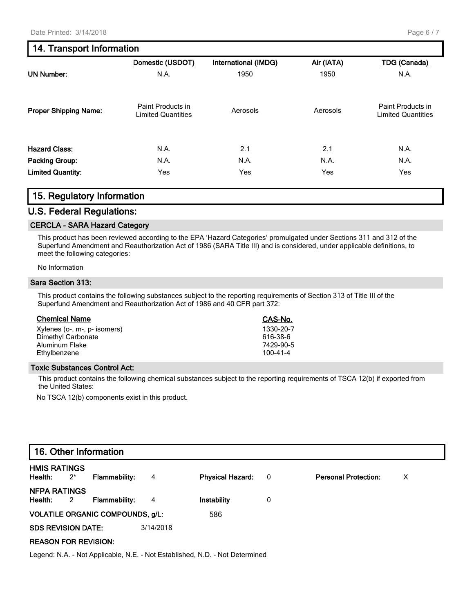## **14. Transport Information**

|                              | Domestic (USDOT)                               | International (IMDG) | Air (IATA) | <b>TDG (Canada)</b>                            |
|------------------------------|------------------------------------------------|----------------------|------------|------------------------------------------------|
| <b>UN Number:</b>            | N.A.                                           | 1950                 | 1950       | N.A.                                           |
| <b>Proper Shipping Name:</b> | Paint Products in<br><b>Limited Quantities</b> | Aerosols             | Aerosols   | Paint Products in<br><b>Limited Quantities</b> |
| <b>Hazard Class:</b>         | N.A.                                           | 2.1                  | 2.1        | N.A.                                           |
| <b>Packing Group:</b>        | N.A.                                           | N.A.                 | N.A.       | N.A.                                           |
| <b>Limited Quantity:</b>     | Yes                                            | Yes                  | Yes        | Yes                                            |

### **15. Regulatory Information**

#### **U.S. Federal Regulations:**

#### **CERCLA - SARA Hazard Category**

This product has been reviewed according to the EPA 'Hazard Categories' promulgated under Sections 311 and 312 of the Superfund Amendment and Reauthorization Act of 1986 (SARA Title III) and is considered, under applicable definitions, to meet the following categories:

No Information

#### **Sara Section 313:**

This product contains the following substances subject to the reporting requirements of Section 313 of Title III of the Superfund Amendment and Reauthorization Act of 1986 and 40 CFR part 372:

| <b>Chemical Name</b>         | CAS-No.   |
|------------------------------|-----------|
| Xylenes (o-, m-, p- isomers) | 1330-20-7 |
| Dimethyl Carbonate           | 616-38-6  |
| Aluminum Flake               | 7429-90-5 |
| Ethylbenzene                 | 100-41-4  |

#### **Toxic Substances Control Act:**

This product contains the following chemical substances subject to the reporting requirements of TSCA 12(b) if exported from the United States:

No TSCA 12(b) components exist in this product.

|                                | 16. Other Information   |                                         |           |                                                                              |                          |                             |   |  |
|--------------------------------|-------------------------|-----------------------------------------|-----------|------------------------------------------------------------------------------|--------------------------|-----------------------------|---|--|
| <b>HMIS RATINGS</b><br>Health: | $2^*$                   | Flammability:                           | 4         | <b>Physical Hazard:</b>                                                      | $\overline{\phantom{0}}$ | <b>Personal Protection:</b> | X |  |
| <b>NFPA RATINGS</b><br>Health: | $\overline{\mathbf{2}}$ | Flammability:                           | 4         | Instability                                                                  | 0                        |                             |   |  |
|                                |                         | <b>VOLATILE ORGANIC COMPOUNDS, g/L:</b> |           | 586                                                                          |                          |                             |   |  |
| <b>SDS REVISION DATE:</b>      |                         |                                         | 3/14/2018 |                                                                              |                          |                             |   |  |
| <b>REASON FOR REVISION:</b>    |                         |                                         |           |                                                                              |                          |                             |   |  |
|                                |                         |                                         |           | Legend: N.A. - Not Applicable, N.E. - Not Established, N.D. - Not Determined |                          |                             |   |  |